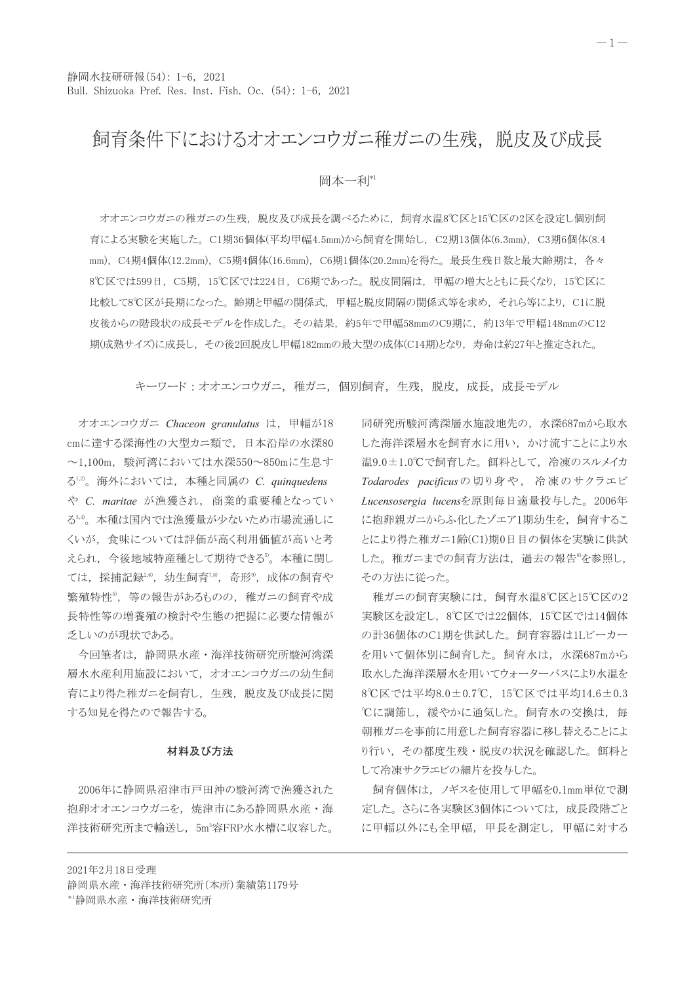## 飼育条件下におけるオオエンコウガニ稚ガニの生残、脱皮及び成長

岡本一利\*1

オオエンコウガニの稚ガニの生残,脱皮及び成長を調べるために,飼育水温8℃区と15℃区の2区を設定し個別飼 育による実験を実施した。C1期36個体(平均甲幅4.5mm)から飼育を開始し、C2期13個体(6.3mm)、C3期6個体(8.4 mm), C4期4個体(12.2mm), C5期4個体(16.6mm), C6期1個体(20.2mm)を得た。最長生残日数と最大齢期は, 各々 8℃区では599日、C5期、15℃区では224日、C6期であった。脱皮間隔は、甲幅の増大とともに長くなり、15℃区に 比較して8℃区が長期になった。齢期と甲幅の関係式、甲幅と脱皮間隔の関係式等を求め、それら等により、C1に脱 皮後からの階段状の成長モデルを作成した。その結果、約5年で甲幅58mmのC9期に、約13年で甲幅148mmのC12 期(成熟サイズ)に成長し、その後2回脱皮し甲幅182mmの最大型の成体(C14期)となり、寿命は約27年と推定された。

キーワード:オオエンコウガニ,稚ガニ,個別飼育,生残,脱皮,成長,成長モデル

オオエンコウガニ Chaceon granulatus は、甲幅が18 cmに達する深海性の大型カニ類で、日本沿岸の水深80 ~1,100m, 駿河湾においては水深550~850mに生息す る<sup>1,2)</sup>。海外においては、本種と同属の C. quinquedens や C. maritae が漁獲され、商業的重要種となってい る3,4)。本種は国内では漁獲量が少ないため市場流通しに くいが、食味については評価が高く利用価値が高いと考 えられ、今後地域特産種として期待できる。本種に関し ては、採捕記録2,6), 幼生飼育7,8), 奇形9), 成体の飼育や 繁殖特性5, 等の報告があるものの、稚ガニの飼育や成 長特性等の増養殖の検討や生態の把握に必要な情報が 乏しいのが現状である。

今回筆者は、静岡県水産・海洋技術研究所駿河湾深 層水水産利用施設において、オオエンコウガニの幼生飼 育により得た稚ガニを飼育し、生残、脱皮及び成長に関 する知見を得たので報告する。

## 材料及び方法

2006年に静岡県沼津市戸田沖の駿河湾で漁獲された 抱卵オオエンコウガニを、焼津市にある静岡県水産・海 洋技術研究所まで輸送し、5m3容FRP水水槽に収容した。

同研究所駿河湾深層水施設地先の, 水深687mから取水 した海洋深層水を飼育水に用い、かけ流すことにより水 温9.0±1.0℃で飼育した。餌料として、冷凍のスルメイカ Todarodes pacificusの切り身や、冷凍のサクラエビ Lucensosergia lucensを原則毎日適量投与した。2006年 に抱卵親ガニからふ化したゾエア1期幼生を、飼育するこ とにより得た稚ガニ1齢(C1)期0日目の個体を実験に供試 した。稚ガニまでの飼育方法は、過去の報告®を参照し, その方法に従った。

稚ガニの飼育実験には、飼育水温8℃区と15℃区の2 実験区を設定し、8℃区では22個体、15℃区では14個体 の計36個体のC1期を供試した。飼育容器は1Lビーカー を用いて個体別に飼育した。飼育水は,水深687mから 取水した海洋深層水を用いてウォーターバスにより水温を 8℃区では平均8.0±0.7℃, 15℃区では平均14.6±0.3 ℃に調節し、緩やかに通気した。飼育水の交換は、毎 朝稚ガニを事前に用意した飼育容器に移し替えることによ り行い、その都度生残・脱皮の状況を確認した。餌料と して冷凍サクラエビの細片を投与した。

飼育個体は、ノギスを使用して甲幅を0.1mm単位で測 定した。さらに各実験区3個体については、成長段階ごと に甲幅以外にも全甲幅、甲長を測定し、甲幅に対する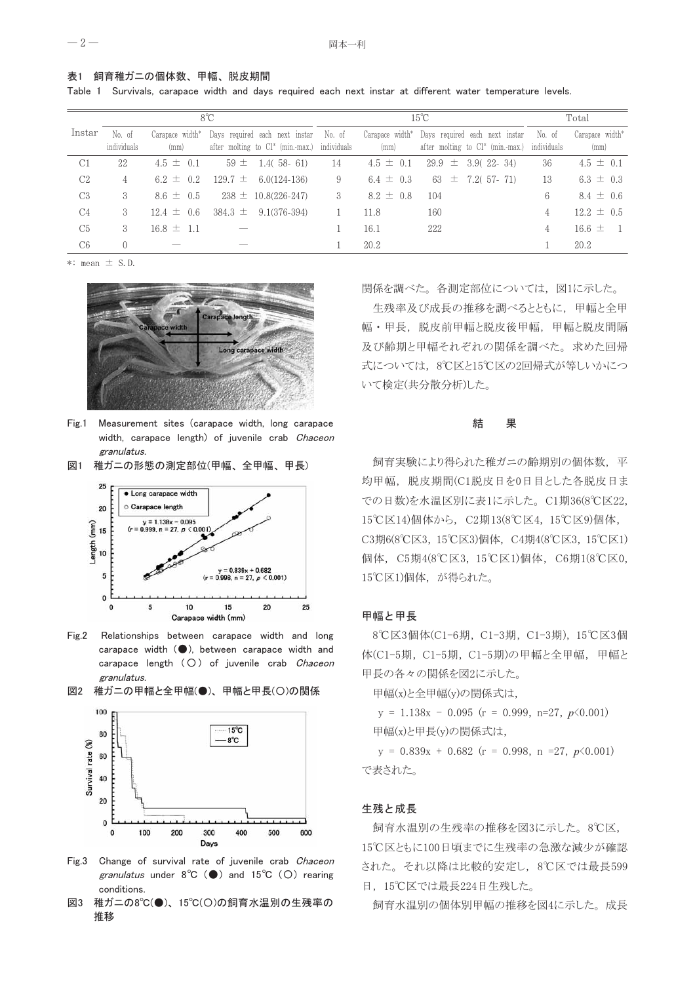表1 飼育稚ガニの個体数、甲幅、脱皮期間

Table 1 Survivals, carapace width and days required each next instar at different water temperature levels.

|                | $8^{\circ}C$          |                                     |                                                                                | $15^{\circ}$ C        |                                     |                                                                       | Total                 |                              |
|----------------|-----------------------|-------------------------------------|--------------------------------------------------------------------------------|-----------------------|-------------------------------------|-----------------------------------------------------------------------|-----------------------|------------------------------|
| Instar         | No. of<br>individuals | Carapace width <sup>*</sup><br>(mm) | Days required each next instar<br>after molting to Cl <sup>*</sup> (min.-max.) | No. of<br>individuals | Carapace width <sup>*</sup><br>(mm) | Days required each next instar<br>after molting to $Cl^*$ (min.-max.) | No. of<br>individuals | Carapace width*<br>(mm)      |
| C1             | 22                    | $4.5 \pm 0.1$                       | $59 \pm 1.4(58 - 61)$                                                          | 14                    | $4.5 \pm 0.1$                       | $29.9 \pm 3.9(22 - 34)$                                               | 36                    | $4.5 \pm 0.1$                |
| C2             | 4                     | $6.2 \pm 0.2$                       | $129.7 \pm 6.0(124-136)$                                                       | 9                     | 6.4 $\pm$ 0.3                       | $63 \pm 7.2(57 - 71)$                                                 | 13                    | $6.3 \pm 0.3$                |
| C <sub>3</sub> | 3                     | $8.6 \pm 0.5$                       | $238 \pm 10.8(226-247)$                                                        | 3                     | $8.2 \pm 0.8$                       | 104                                                                   | 6                     | $8.4 \pm 0.6$                |
| C <sub>4</sub> | 3                     | $12.4 \pm 0.6$                      | $384.3 \pm 9.1(376-394)$                                                       |                       | 11.8                                | 160                                                                   | 4                     | $12.2 \pm 0.5$               |
| C <sub>5</sub> | $\mathcal{S}$         | $16.8 \pm 1.1$                      |                                                                                |                       | 16.1                                | 222                                                                   | 4                     | $16.6 \pm$<br>$\overline{1}$ |
| C <sub>6</sub> | $\Omega$              |                                     |                                                                                |                       | 20.2                                |                                                                       |                       | 20.2                         |

 $\ast:$  mean  $\pm$  S.D.



- $Fig 1$ Measurement sites (carapace width, long carapace width, carapace length) of juvenile crab Chaceon granulatus.
- 図1 稚ガニの形態の測定部位(甲幅、全甲幅、甲長)



- $Fig. 2$ Relationships between carapace width and long carapace width (O), between carapace width and carapace length (O) of juvenile crab Chaceon granulatus.
- 図2 稚ガニの甲幅と全甲幅(●)、甲幅と甲長(○)の関係



- Fig.3 Change of survival rate of juvenile crab Chaceon granulatus under  $8^{\circ}C$  ( $\bullet$ ) and  $15^{\circ}C$  (O) rearing conditions.
- 図3 稚ガニの8℃(●)、15℃(○)の飼育水温別の生残率の 推移

関係を調べた。各測定部位については、図1に示した。

生残率及び成長の推移を調べるとともに、甲幅と全甲 幅・甲長、脱皮前甲幅と脱皮後甲幅、甲幅と脱皮間隔 及び齢期と甲幅それぞれの関係を調べた。求めた回帰 式については、8℃区と15℃区の2回帰式が等しいかにつ いて検定(共分散分析)した。

#### 結 果

飼育実験により得られた稚ガニの齢期別の個体数、平 均甲幅, 脱皮期間(C1脱皮日を0日目とした各脱皮日ま での日数)を水温区別に表1に示した。C1期36(8℃区22, 15℃区14)個体から、C2期13(8℃区4,15℃区9)個体, C3期6(8℃区3, 15℃区3)個体, C4期4(8℃区3, 15℃区1) 個体, C5期4(8℃区3, 15℃区1)個体, C6期1(8℃区0, 15℃区1)個体,が得られた。

#### 甲幅と甲長

8℃区3個体(C1-6期, C1-3期, C1-3期), 15℃区3個 体(C1-5期, C1-5期, C1-5期)の甲幅と全甲幅, 甲幅と 甲長の各々の関係を図2に示した。

甲幅(x)と全甲幅(y)の関係式は,

 $y = 1.138x - 0.095$  (r = 0.999, n=27, p < 0.001) 甲幅(x)と甲長(y)の関係式は,

 $y = 0.839x + 0.682$  (r = 0.998, n =27, p < 0.001) で表された。

### 生残と成長

飼育水温別の生残率の推移を図3に示した。8℃区, 15℃区ともに100日頃までに生残率の急激な減少が確認 された。それ以降は比較的安定し、8℃区では最長599 日, 15℃区では最長224日生残した。

飼育水温別の個体別甲幅の推移を図4に示した。成長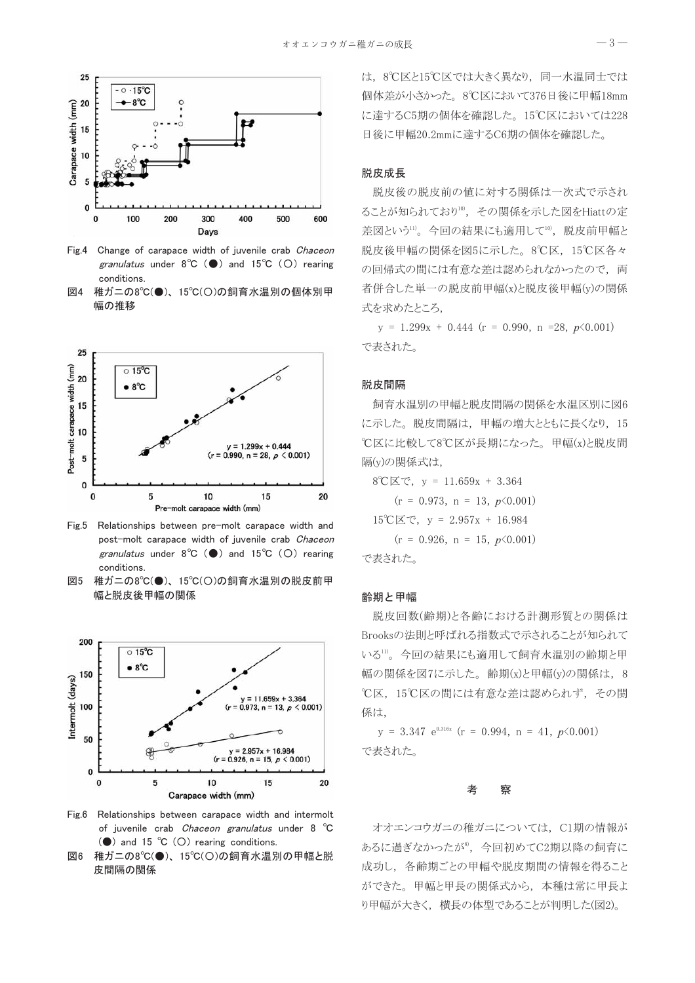

Fig.4 Change of carapace width of juvenile crab Chaceon granulatus under  $8^{\circ}C$  ( $\bullet$ ) and  $15^{\circ}C$  (O) rearing conditions

図4 稚ガニの8℃(●)、15℃(○)の飼育水温別の個体別甲 幅の推移



Fig.5 Relationships between pre-molt carapace width and post-molt carapace width of juvenile crab Chaceon granulatus under  $8^{\circ}C$  ( $\bullet$ ) and  $15^{\circ}C$  (O) rearing conditions

図5 稚ガニの8℃(●)、15℃(○)の飼育水温別の脱皮前甲 幅と脱皮後甲幅の関係



Fig.6 Relationships between carapace width and intermolt of juvenile crab Chaceon granulatus under 8 °C ( $\bullet$ ) and 15 °C (O) rearing conditions.

図6 稚ガニの8℃(●)、15℃(○)の飼育水温別の甲幅と脱 皮間隔の関係

は、8℃区と15℃区では大きく異なり、同一水温同士では 個体差が小さかった。8℃区において376日後に甲幅18mm に達するC5期の個体を確認した。15℃区においては228 日後に甲幅20.2mmに達するC6期の個体を確認した。

## 脱皮成長

脱皮後の脱皮前の値に対する関係は一次式で示され ることが知られており10, その関係を示した図をHiattの定 差図という11。今回の結果にも適用して10, 脱皮前甲幅と 脱皮後甲幅の関係を図5に示した。8℃区、15℃区各々 の回帰式の間には有意な差は認められなかったので、両 者併合した単一の脱皮前甲幅(x)と脱皮後甲幅(y)の関係 式を求めたところ,

 $y = 1.299x + 0.444$  (r = 0.990, n =28, p < 0.001) で表された。

#### 脱皮間隔

飼育水温別の甲幅と脱皮間隔の関係を水温区別に図6 に示した。脱皮間隔は、甲幅の増大とともに長くなり、15 ℃区に比較して8℃区が長期になった。甲幅(x)と脱皮間 隔(y)の関係式は,

 $8^{\circ}$ C区で, y = 11.659x + 3.364

 $(r = 0.973, n = 13, p\angle 0.001)$  $15^{\circ}$ C区で, y = 2.957x + 16.984  $(r = 0.926, n = 15, p\angle 0.001)$ で表された。

#### 齢期と甲幅

脱皮回数(齢期)と各齢における計測形質との関係は Brooksの法則と呼ばれる指数式で示されることが知られて いる11)。今回の結果にも適用して飼育水温別の齢期と甲 幅の関係を図7に示した。齢期(x)と甲幅(y)の関係は、8 ℃区, 15℃区の間には有意な差は認められず、その関 係は.

 $y = 3.347 e^{0.316x}$  (r = 0.994, n = 41, p < 0.001) で表された。

#### 考 察

オオエンコウガニの稚ガニについては、C1期の情報が あるに過ぎなかったが<sup>8</sup>、今回初めてC2期以降の飼育に 成功し、各齢期ごとの甲幅や脱皮期間の情報を得ること ができた。甲幅と甲長の関係式から、本種は常に甲長よ り甲幅が大きく、横長の体型であることが判明した(図2)。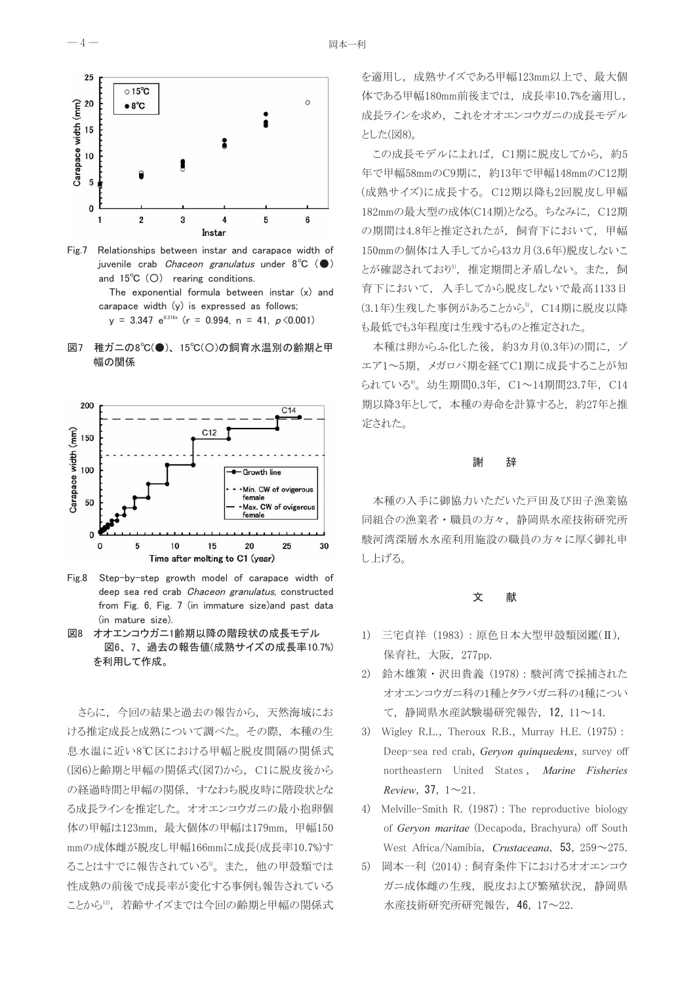

Fig.7 Relationships between instar and carapace width of juvenile crab *Chaceon granulatus* under  $8^{\circ}C$  ( $\bullet$ ) and  $15^{\circ}C$  (O) rearing conditions.

The exponential formula between instar (x) and carapace width (y) is expressed as follows; y = 3.347  $e^{0.316x}$  (r = 0.994, n = 41, p < 0.001)





 $Fig 8$ Step-by-step growth model of carapace width of deep sea red crab Chaceon granulatus, constructed from Fig. 6, Fig. 7 (in immature size)and past data (in mature size).

図8 オオエンコウガニ1齢期以降の階段状の成長モデル 図6、7、過去の報告値(成熟サイズの成長率10.7%) を利用して作成。

さらに、今回の結果と過去の報告から、天然海域にお ける推定成長と成熟について調べた。その際、本種の生 息水温に近い8℃区における甲幅と脱皮間隔の関係式 (図6)と齢期と甲幅の関係式(図7)から、C1に脱皮後から の経過時間と甲幅の関係、すなわち脱皮時に階段状とな る成長ラインを推定した。オオエンコウガニの最小抱卵個 体の甲幅は123mm, 最大個体の甲幅は179mm, 甲幅150 mmの成体雌が脱皮し甲幅166mmに成長(成長率10.7%)す ることはすでに報告されている。また、他の甲殻類では 性成熟の前後で成長率が変化する事例も報告されている ことから12, 若齢サイズまでは今回の齢期と甲幅の関係式 を適用し、成熟サイズである甲幅123mm以上で、最大個 体である甲幅180mm前後までは、成長率10.7%を適用し, 成長ラインを求め、これをオオエンコウガニの成長モデル とした(図8)。

この成長モデルによれば、C1期に脱皮してから、約5 年で甲幅58mmのC9期に、約13年で甲幅148mmのC12期 (成熟サイズ)に成長する。C12期以降も2回脱皮し甲幅 182mmの最大型の成体(C14期)となる。ちなみに、C12期 の期間は4.8年と推定されたが、飼育下において、甲幅 150mmの個体は入手してから43カ月(3.6年)脱皮しないこ とが確認されており<sup>5</sup>, 推定期間と矛盾しない。また、飼 育下において、入手してから脱皮しないで最高1133日 (3.1年)生残した事例があることから<sup>5</sup>, C14期に脱皮以降 も最低でも3年程度は生残するものと推定された。

本種は卵からふ化した後,約3カ月(0.3年)の間に,ゾ エア1~5期, メガロパ期を経てC1期に成長することが知 られている<sup>8</sup>。幼生期間0.3年, C1~14期間23.7年, C14 期以降3年として、本種の寿命を計算すると、約27年と推 定された。

#### 謝 辞

本種の入手に御協力いただいた戸田及び田子漁業協 同組合の漁業者・職員の方々、静岡県水産技術研究所 駿河湾深層水水産利用施設の職員の方々に厚く御礼申 し上げる。

#### 文 献

- 1) 三宅貞祥 (1983): 原色日本大型甲殻類図鑑(II), 保育社,大阪,277pp.
- 2) 鈴木雄策・沢田貴義 (1978):駿河湾で採捕された オオエンコウガニ科の1種とタラバガニ科の4種につい て、静岡県水産試験場研究報告, 12, 11~14.
- 3) Wigley R.L., Theroux R.B., Murray H.E. (1975): Deep-sea red crab, Geryon quinquedens, survey off northeastern United States, Marine Fisheries Review, 37,  $1 \sim 21$ .
- 4) Melville-Smith R. (1987) : The reproductive biology of Gervon maritae (Decapoda, Brachyura) off South West Africa/Namibia, Crustaceana, 53, 259~275.
- 5) 岡本一利 (2014): 飼育条件下におけるオオエンコウ ガニ成体雌の生残、脱皮および繁殖状況、静岡県 水産技術研究所研究報告, 46, 17~22.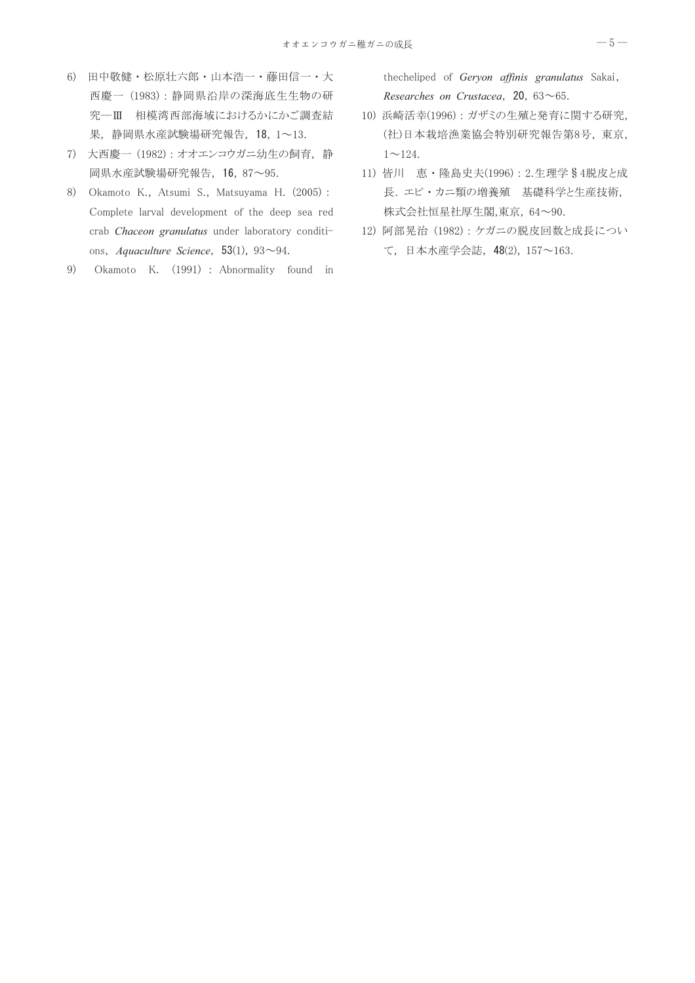- 6) 田中敬健·松原壮六郎·山本浩一·藤田信一·大 西慶一 (1983):静岡県沿岸の深海底生生物の研 究一Ⅲ 相模湾西部海域におけるかにかご調査結 果,静岡県水産試験場研究報告, 18, 1~13.
- 7) 大西慶一 (1982): オオエンコウガニ幼生の飼育,静 岡県水産試験場研究報告, 16, 87~95.
- 8) Okamoto K., Atsumi S., Matsuyama H. (2005): Complete larval development of the deep sea red crab Chaceon granulatus under laboratory conditions, Aquaculture Science, 53(1),  $93{\sim}94$ .
- Okamoto K. (1991) : Abnormality found in 9)

thecheliped of Geryon affinis granulatus Sakai, Researches on Crustacea, 20,  $63 \sim 65$ .

- 10) 浜崎活幸(1996): ガザミの生殖と発育に関する研究, (社)日本栽培漁業協会特別研究報告第8号, 東京,  $1 \sim 124$ .
- 11) 皆川 恵·隆島史夫(1996): 2.生理学§4脱皮と成 長. エビ・カニ類の増養殖 基礎科学と生産技術, 株式会社恒星社厚生閣,東京, 64~90.
- 12) 阿部晃治 (1982): ケガニの脱皮回数と成長につい て、日本水産学会誌, 48(2), 157~163.